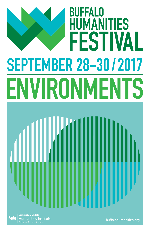# **BUFFALO IMANITIES** HU **ESTIVAL** SEPTEMBER 28-30 /2017 ENVIRONMENTS

Institute

buffalohumanities.org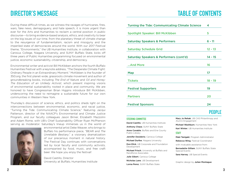### **DIRECTOR'S MESSAGE TABLE OF CONTENTS**

During these difficult times, as we witness the ravages of hurricanes, fires, wars, fake news, demagoguery, and hate speech, it is more urgent than ever for the Arts and Humanities to reclaim a central position in public discourse---to bring evidence-based analysis, ethics, and creativity to bear on the big issues of our time, from the planetary threat of climate change to the resurgence of fundamentalism, racism and misogyny and the imperiled state of democracies around the world. With our 2017 Festival theme, "Environments," the UB Humanities Institute, in collaboration with Canisius College, Niagara University, and SUNY Buffalo State, kicks off three years of Public Humanities programming focused on environmental justice, economic sustainability, citizenship, and democracy.

Environmental writer and activist Bill McKibben anchors the fourth Buffalo Humanities Festival with a keynote address, "The Desperate Climate Fight: Ordinary People in an Extraordinary Moment." McKibben is the founder of 350.org, the first planet-wide, grassroots climate movement and author of groundbreaking books, including *The End of Nature* and *Oil and Honey: The Education of an Unlikely Activist*, which present inspiring visions of environmental sustainability rooted in place and community. We are honored to have Congressman Brian Higgins introduce Bill McKibben, underscoring the need to reimagine a sustainable future for our own communities in Western New York.

Thursday's discussion of science, ethics, and politics sheds light on the interconnections between environmental, economic, and racial justice, "Turning the Tide: Communicating Climate Science," featuring Jacqui Patterson, director of the NAACP's Environmental and Climate Justice Program, and our faculty colleagues Jason Briner, Elizabeth Mazzolini and Adam Rome, with UB's Chief Sustainability Officer Ryan McPherson serving as moderator. Saturday's lineup immerses us in the world of



environmental artist Deke Weaver, who brings to Buffalo his performance piece, "BEAR and *The Unreliable Bestiary*," a visionary dramatization of our precarious moment in natural history. The Festival Day continues with conversations led by local faculty and community activists, accompanied by food, music, and free craft beer. We hope you enjoy the festival!

David Castillo, Director University at Buffalo, Humanities Institute

| <b>Turning the Tide: Communicating Climate Science</b> | 4         |
|--------------------------------------------------------|-----------|
| <b>Spotlight Speaker: Bill McKibben</b>                | 5         |
| <b>Saturday Speakers &amp; Performers</b>              | $6 - 11$  |
| <b>Saturday Schedule Grid</b>                          | $12 - 13$ |
| Saturday Speakers & Performers (cont'd)                | $14 - 15$ |
| And More                                               | 16        |
| Map                                                    | 17        |
| <b>Tickets</b>                                         | $18 - 19$ |
| <b>Festival Supporters</b>                             | 19        |
| <b>Partners</b>                                        | 20        |
| <b>Festival Sponsors</b>                               | 24        |
|                                                        |           |

#### STEERING COMMITTEE

David Castillo, UB Humanities Institute

Anthony Chase, SUNY Buffalo State

Anne Conable, Buffalo and Erie County Public Library

Jennifer Desiderio, Canisius College

Michael Durfee, Niagara University

Don Elick, UB Corporate and Foundation Development

Michael Frisch, University at Buffalo and Randforce Associates

Julie Gibert, Canisius College

Nicholas Lane, UB Development

Lorna Perez, SUNY Buffalo State

PEOPLE

Mary Jo Rehak, UB CAS Philanthropy and Alumni Engagement

Michael Washburn, Humanities New York

Kari Winter, UB Humanities Institute

#### **STAFF**

Maki Tanigaki, Program Administrator

Rebecca Wing, Festival Coordinator

with invaluable assistance from:

Bernadette Gilliam, SUNY Buffalo State Special Events

Sara Harvey, UB Special Events

Graphic design by Julian Montague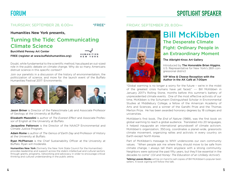

THURSDAY, SEPTEMBER 28, 6:00pm \*\* FREE\*

Humanities New York presents,

### Turning the Tide: Communicating Climate Science

#### Burchfield Penney Art Center

FREE (register at www.buffalohumanities.org)

Doubt, while fundamental to the scientific method, has played an out-sized role in the public debate on climate change. Why do so many Americans distrust science in this specific context?

Join our panelists in a discussion of the history of environmentalism, the politicization of science, and more for the launch event of the Buffalo Humanities Festival 2017: Environments.



**Jason Briner** is Director of the Paleoclimate Lab and Associate Professor of Geology at the University at Buffalo.

Elizabeth Mazzolini is author of *The Everest Effect* and Associate Professor of English at the University at Buffalo.

Jacqueline Patterson is the Director of the NAACP Environmental and Climate Justice Program.

Adam Rome is author of *The Genius of Earth Day* and Professor of History at the University at Buffalo.

Ryan McPherson is the Chief Sustainability Officer at the University at Buffalo. Ryan will moderate.

Humanities New York (formerly the New York State Council for the Humanities) provides leadership and support across the state's intellectual and cultural sectors through grants, programs, networking and advocacy in order to encourage critical thinking and cultural understanding in the public arena.

#### FRIDAY, SEPTEMBER 29, 8:00pm



### Bill McKibben The Desperate Climate Fight: Ordinary People in an Extraordinary Moment

#### The Albright-Knox Art Gallery

Introduced by The Honorable Brian Higgins, U.S. Representative for New York's 26th congressional district

#### VIP Wine & Cheese Reception with the Author in the AK Café at 7:00pm

"Global warming is no longer a worry for the future – we're in the midst of the greatest crisis humans have yet faced." --- Bill McKibben in January 2017's Rolling Stone, months before this summer's battery of unprecedented climate events. One of the most effective activists of our time, McKibben is the Schumann Distinguished Scholar in Environmental Studies at Middlebury College, a fellow of the American Academy of Arts and Sciences, and a winner of the Gandhi Prize and the Thomas Merton Prize. He has been awarded honorary degrees by 18 colleges and universities.

McKibben's first book, *The End of Nature* (1989), was the first book on global warming to reach a global audience. Translated into 20 languages, it helped inaugurate an international groundswell of climate activism. McKibben's organization, 350.org, coordinates a planet-wide, grassroots climate movement, organizing rallies and activists in every country on Earth except North Korea.

Part of McKibben's message to WNY underscores our own community values. "When people ask me where they should move to be safe from climate change, I always tell them anyplace with a strong community. Neighbors were optional the past fifty years, but they'll be essential in the decades to come" (*Oil and Honey: The Education of an Unlikely Activist*).

Talking Leaves Books will be on-hand to sell copies of Bill McKibben's popular bestsellers. A book signing will follow the talk.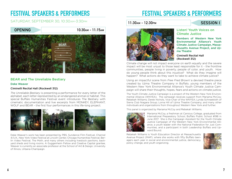#### SATURDAY, SEPTEMBER 30, 10:30am-3:30pm



#### BEAR and The Unreliable Bestiary

#### Deke Weaver

#### Ciminelli Recital Hall (Rockwell 312)

*The Unreliable Bestiary* is presenting a performance for every letter of the alphabet, each letter represented by an endangered animal or habitat. This special Buffalo Humanities Festival event introduces The Bestiary with cinematic documentation and live excerpts from MONKEY, ELEPHANT, WOLF and BEAR - the first four performances in this life-long project.



Deke Weaver's work has been presented by PBS, Sundance Film Festival, Channel 4/U.K., New York Video Festival at Lincoln Center, Chicago Humanities Festival, Berlin Video Festival, The Moth, and many others including livestock pavilions, backyard sheds and living rooms. A Guggenheim Fellow and Creative Capital grantee, Weaver is currently an associate professor at the School of Art & Design, University of Illinois, Urbana-Champaign.

## FESTIVAL SPEAKERS & PERFORMERS

#### 11:30am - 12:30pm SESSION I



#### Listen! Youth Voices on Climate Justice

Members of Western New York Environmental Alliance's Youth Climate Justice Campaign, Massachusetts Avenue Project, and Ujima Theatre

#### Ciminelli Recital Hall (Rockwell 312)

Climate change will not impact everyone on earth equally and the severe impact will be most unjust to those least responsible for it - the frontline communities, people living in poverty, people of color, and youth. How do young people think about this injustice? What do they imagine will happen? What actions do they want to take to achieve climate justice?

Using an impactful scene from *Free Fred Brown!* a devised theatre piece created by Ujima Theatre Company in Buffalo, young members of the Western New York Environmental Alliance's Youth Climate Justice Campaign will share their thoughts, hopes, fears and actions on climate justice.

The Youth Climate Justice Campaign is a project of the Western New York Environmental Alliance (WNYEA). The campaign receives support from Mariama McCoy; Rebekah Williams; Derek Nichols, Vice-Chair of the WNYEA; Lynda Schneekloth of Sierra Club Niagara Group; Lorna Hill of Ujima Theatre Company; and many other individuals and organizations from throughout Western New York and further.

This panel is organized by Mariama McCoy and Rebekah Williams.



Mariama McCoy, a freshman at Canisius College, graduated from International Preparatory School, Buffalo Public School #198 in June 2017. She is the Campaign Assistant for the Youth Climate Justice Campaign of the Western New York Environmental Alliance, a youth leader with the National Federation for Just Communities, and a participant in both Leadership Buffalo and Upward Bound.

Rebekah Williams is Youth Education Director at Massachusetts Avenue Project (MAP), where she works with fifty Buffalo teenagers each year in social and environmental justice, democracy, policy change, and youth organizing.

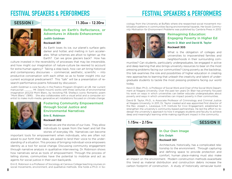### FESTIVAL SPEAKERS & PERFORMERS

SESSION I 2:30 PM



#### Reflecting on Earth's Reflectance, or Adventures in Albedo Enhancement Judith Goldman

#### Rockwell 301

As Earth loses its ice, our planet's surface gets darker and hotter, and melting in turn accelerates. What schemes are afoot to lighten up the Earth? Can we grow glaciers back? How has

culture invested in the reversibility of processes that may be irreversible, and how might our imagination of nature-culture be rewired to account for extra-human agency? Taking a step back, how can art bring historical and contemporary discourses -- commercial, aesthetic, scientific -- into productive conversation with each other, so as to foster insight into our current ecological predicament? This "talk" will be a presentation of research-performance poems followed by discussion.

Judith Goldman is core faculty in the Poetics Program (English) at UB. Her current manuscript , *Mt.* [blank mount] works with three centuries of environmental imagination around Mont Blanc, by revisiting P.B. Shelley's iconic Romantic poem "Mont Blanc" (1816). She also collaborates with a visual artist and a computer scientist to make multi-media, generative art installations focused on climate change.



#### Fostering Community Empowerment through Social Justice and Environmental Narratives

#### Erin E. Robinson Rockwell 302

Narratives are the stories of our lives. They allow individuals to speak from the heart and tell the stories of everyday life. Narratives can become

important tools for empowerment when individuals, who are often not asked to put forth their ideas, are asked to lend their voice to the understanding of a situation. This process of bringing individual voice empowers identity as a tool for social change. Discussing community engagement through narrative analysis in qualitative interviewing, Dr. Robinson shows how narratives serve as tools of empowerment. Through the process of telling stories, communities have the potential to mobilize and act as agents for social justice in their own backyards.

8 a *8* a 90 an Dùbhlachas an Dùbhlachas an Dùbhlachas an Dùbhlachas an Dùbhlachas an Dùbhlachas an Dùbhlachas an D Erin E. Robinson is a Professor of Sociology at Canisius College teaching courses on social movements, environment, and qualitative methods. She holds a Ph.D. in So-

ciology from the University at Buffalo where she researched social movement mobilization patterns in communities facing environmental hazards. Her book *Community Motivation for Environment Problems* was published by Cambria Press in 2013.



#### Reimagining Education: Engaging Poverty in Higher Ed Kevin D. Blair and David B. Taylor Rockwell 305

What is the obligation of colleges and universities to impoverished families and neighborhoods in their surrounding com-

munities? Can students, particularly undergraduates, be engaged in active and deep learning that also brings university resources to bear on the most pressing problems facing our communities? Using poverty as the backdrop, this talk examines the role and possibilities of higher education in creating new approaches to learning that unleash the creativity and talent of undergraduate students to tackle the most pressing problems facing our world today.

Kevin D. Blair, Ph.D., is Professor of Social Work and Chair of the Social Work Department at Niagara University. Over the past ten years Dr. Blair has primarily focused his work on ways in which universities can better educate undergraduates about poverty and ways in which universities can impact poverty in their communities.

David B. Taylor, Ph.D., is Associate Professor of Criminology and Criminal Justice at Niagara University. In 2011, Dr. Taylor created and was appointed first director of the Rev. Joseph L. Levesque, C.M. Institute for Civic Engagement, established to strengthen the university's community-based partnerships. He led the effort to redesign the university's approach to how it engages students and faculty to achieve deep and meaningful learning while making significant impact in the community

#### 1:15pm - 2:15pm SESSION II



#### In Our Own Image Eric Dolph Rockwell 301

Architecture, historically, has a complicated relationship to the environment. Through capturing and defining space to provide protection and comfort, human place-making must also make

an impact on the environment. Modern construction methods exacerbate this trend as material distribution and construction debris increase the carbon footprint of construction. A study of historically vernacular build-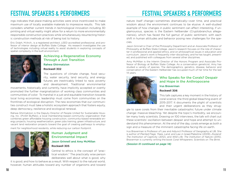ings indicates that place-making activities were once incentivized to make maximum use of locally available materials to impressive results. This talk considers whether current trends in technological innovation including 3D printing and virtual reality might allow for a return to more environmentally responsible construction practices while simultaneously resurrecting historic construction methods at risk of being lost to history.

Eric Dolph, M.Arch., is a registered architect, LEED accredited professional, and professor of interior design at Buffalo State College. His research investigates the use of technologies including virtual reality to assist students in exploring concepts of spatial complexity in the built environment.



#### Achieving a Regenerative Economy Through a Just Transition

Rahwa Ghirmatzion

#### Rockwell 302

The questions of climate change, food security, water security, land security, and energy futures are inextricably linked to race, poverty and development. Traditional environmental

movements, historically and currently, have implicitly accepted or overtly promoted the further marginalization of working class communities and communities of color. To marshal in a just and equitable transition towards local living economies, leadership must come from communities on the frontlines of ecological disruption. The new economies that our communities construct must take a holistic ecosystem approach that fosters equity, deep democracy, resilience and ecological renewal.

Rahwa Ghirmatzion is the Deputy Director of People United for Sustainable Housing, Inc. (PUSH Buffalo), a local membership-based community organization that combines green affordable housing construction, community-based renewable energy projects, housing weatherization, green jobs training, green infrastructure, and vacant land restoration projects toward the goal of creating pathways to employ-

ment for neighborhood residents, while reducing our carbon footprint.



#### Human Judgment and Environmental Impact Jason Grinnell and Amy McMillan Rockwell 305

Central to ethics is the concept of "practical wisdom." The practically wise person deliberates well about what is good, why

it is good, and how to behave as a result. With respect to the natural world, however, human attitudes toward any number of organisms and toward

### FESTIVAL SPEAKERS & PERFORMERS

nature itself change—sometimes dramatically—over time, and practical wisdom about the environment continues to be elusive. A well-studied example of how changes in public sentiment can affect interesting, if unglamourous, species is the Eastern hellbender (Cryptobranchus alleganiensis), which has faced the full gamut of public sentiment, with each shift in human attitudes and behavior posing new challenges for the species.

Jason Grinnell is Chair of the Philosophy Department and an Associate Professor of Philosophy at Buffalo State College. Jason's research focuses on the role of character in professional and applied ethics, and on philosophical issues in education and curriculum. Jason's work is frequently inter-disciplinary, and he has taught, presented, and published with colleagues from several other disciplines.

Amy McMillan is the Interim Director of the Honors Program and Associate Professor of Biology at Buffalo State College. As a conservation geneticist, Amy has studied a variety of species. The demographics, genetics, disease, behavior and conservation of the Eastern Hellbender has occupied much of her time for the last 14 years.



#### Who Speaks for the Corals? Despair and Hope in the Anthropocene Irus Braverman

#### Rockwell 306

This talk captures a key moment in the history of coral science: the third global bleaching event of 2015-2017. It documents the plight of scientists and their urgent deliberations as they strug-

gle to save corals from their inevitable catastrophic future under climate change: massive bleaching. Yet despite the topic's morbidity, we encounter many lively scientists. Drawing on 100 interviews, the talk will chart out these scientists' oscillation between despair and hope and attempt to understand this phenomenon. At the end of the day, corals emerge as both a sign and a measure of the imminent catastrophe facing life on earth.

Irus Braverman is Professor of Law and Adjunct Professor of Geography at UB. She is author of *Planted Flags: Trees, Land, and Law in Israel/Palestine* (2009), *Zooland: The Institution of Captivity* (2012), and *Wild Life: The Institution of Nature* (2015). Braverman is currently writing the book *Coral Whisperers: Scientists on The Brink*.

*(Session III continued on page 14)*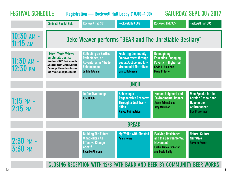| <b>FESTIVAL SCHEDULE</b>            | <b>Ciminelli Recital Hall</b>                                                                                                                                                                  | <b>Rockwell Hall 301</b>                                                                                                      | Registration - Rockwell Hall Lobby (10:00-4:00)<br><b>Rockwell Hall 302</b>                                                                    | <b>Rockwell Hall 305</b>                                                                                                               | <b>SATURDAY, SEPT. 30 / 2017</b><br><b>Rockwell Hall 306</b>                                                           |  |
|-------------------------------------|------------------------------------------------------------------------------------------------------------------------------------------------------------------------------------------------|-------------------------------------------------------------------------------------------------------------------------------|------------------------------------------------------------------------------------------------------------------------------------------------|----------------------------------------------------------------------------------------------------------------------------------------|------------------------------------------------------------------------------------------------------------------------|--|
| $10:30$ AM -<br>$11:15$ AM          | Deke Weaver performs "BEAR and The Unreliable Bestiary"                                                                                                                                        |                                                                                                                               |                                                                                                                                                |                                                                                                                                        |                                                                                                                        |  |
| $11:30$ AM -<br>$12:30 \text{ }$ PM | <b>Listen! Youth Voices</b><br>on Climate Justice<br><b>Members of WNY Environmental</b><br>Alliance's Youth Climate Justice<br>Campaign, Massachusetts Ave-<br>nue Project, and Ujima Theatre | <b>Reflecting on Earth's</b><br>Reflectance, or<br><b>Adventures in Albedo</b><br><b>Enhancement</b><br><b>Judith Goldman</b> | <b>Fostering Community</b><br><b>Empowerment through</b><br>Social Justice and En-<br><b>vironmental Narratives</b><br><b>Erin E. Robinson</b> | <b>Reimagining</b><br><b>Education: Engaging</b><br><b>Poverty in Higher Ed</b><br><b>Kevin D. Blair and</b><br><b>David B. Taylor</b> |                                                                                                                        |  |
|                                     | <b>LUNCH</b>                                                                                                                                                                                   |                                                                                                                               |                                                                                                                                                |                                                                                                                                        |                                                                                                                        |  |
| $1:15$ pm $-$<br>$2:15$ PM          |                                                                                                                                                                                                | In Our Own Image<br><b>Eric Dolph</b>                                                                                         | <b>Achieving a</b><br><b>Regenerative Economy</b><br><b>Through a Just Tran-</b><br><b>sition</b><br><b>Rahwa Ghirmatzion</b>                  | <b>Human Judgment and</b><br><b>Environmental Impact</b><br><b>Jason Grinnell and</b><br><b>Amy McMillan</b>                           | <b>Who Speaks for the</b><br><b>Corals? Despair and</b><br>Hope in the<br><b>Anthropocene</b><br><b>Irus Braverman</b> |  |
|                                     | <b>BREAK</b>                                                                                                                                                                                   |                                                                                                                               |                                                                                                                                                |                                                                                                                                        |                                                                                                                        |  |
| $2:30$ PM -<br>$3:30$ PM            |                                                                                                                                                                                                | <b>Building The Future-</b><br><b>What Makes An</b><br><b>Effective Change</b><br>Agent?<br><b>Ryan McPherson</b>             | My Walks with Olmsted<br><b>Adam Rome</b>                                                                                                      | <b>Evolving Resistance</b><br>and the Environmental<br><b>Movement</b><br><b>Leslie James Pickering</b><br>and David Reilly            | Nature, Culture,<br><b>Narrative</b><br><b>Barbara Porter</b>                                                          |  |
|                                     |                                                                                                                                                                                                |                                                                                                                               | <b>CLOSING RECEPTION WITH 12/8 PATH BAND AND BEER BY COMMUNITY BEER WORKS</b>                                                                  |                                                                                                                                        |                                                                                                                        |  |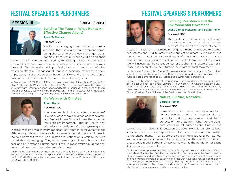### FESTIVAL SPEAKERS & PERFORMERS



SESSION III 2:30 PM - 3:30 PM

Building The Future—What Makes An Effective Change Agent? Ryan McPherson

#### Rockwell 301

We live in challenging times. While the hurdles are high, there is a growing movement across our globe to embrace these challenges as an opportunity to rethink what could be and chart

a new path of evolution pioneered by the Change Agent. But what is a Change Agent and how can we all position ourselves to carry this work forward? This discussion will specifically look at the elements of what makes an effective Change Agent—purpose, positivity, resilience, relationships, work, inspiration, science, hope, humility—and ask the question of how can we all work to build the future we collectively seek.

In September of 2011, Ryan McPherson was named the University at Buffalo's first Chief Sustainability Officer. In his role as the CSO, Ryan connects people across the university with information, innovation, and tools to reduce UB's footprint on the future and enhance quality of life by improving environmental stewardship, increasing economic efficiency and augmenting cultural values and awareness.



#### My Walks with Olmsted

#### Adam Rome Rockwell 302

How can we build sustainable communities? Like many of us today, the great landscape architect Frederick Law Olmsted knew that question was critically important. Though known now primarily as a designer of urban green spaces,

Olmsted was involved in every important environmental movement in the 19th century. He also was a social reformer, a journalist, and a pioneer in the field of management. So Olmsted's reflections on sustainability were remarkably wide-ranging. They still are amazingly relevant. Because I live near one of Olmsted's Buffalo parks, I think almost every day about how he can help us meet the challenges of our time.

Adam Rome is an expert on the history of our relationship with the environment. He has written about suburban sprawl and the rise of modern environmentalism, the first Earth Day, and efforts to green capitalism. He is a Professor of History at the University at Buffalo.



#### Evolving Resistance and the Environmental Movement

#### Leslie James Pickering and David Reilly Rockwell 305

The combined governmental and corporate assault on both the environment and activism has raised the stakes of eco-re-

sistance. Beyond the dismantling of government regulations to protect ecosystems and wildlife, activists are subject to greater surveillance and repression. In addition, a cultural norm of nonviolent resistance has intensified from propaganda efforts against violent strategies of resistance. We will investigate the consequences of the changing nature of eco-resistance and speculate on the future of the environmental movement.

Leslie James Pickering is a former Spokesperson for the underground Earth Liberation Front, a Co-Owner of Burning Books, an author and lecturer, focusing on the more radical elements of social justice and environmental struggles.

Dr. Dave Reilly is the director of International Studies and chair of the Department of Political Science at Niagara University in Lewiston, NY, where he teaches Environmental Policy among many other courses. He is the president of the NU Faculty Union and faculty advisor for the Black Student Union. Dave is a co-founder of the Citizen Coalition for Wildlife and the Environment on Grand Island.



#### Nature, Culture, Narrative Barbara Porter Rockwell 306

Narratives—stories—are one of the primary tools humans use to shape their understanding of themselves and their environment. And stories are acts of interpretation. What are the dominant stories we tell ourselves about nature and

culture and the relationship between the two? How do our stories both shape and reflect our interpretations of ourselves and our relationships to the environment? What are the ethical implications of our stories? We can explore some answers to these questions through the fictions of Ursula LeGuin and Barbara Kingsolver as well as the nonfiction of Diane Ackerman and Thomas French.

 $14$ Dr. Porter serves as Associate Dean of the College of Arts and Sciences at Canisius College. She teached teaches humanities focused courses in the Environmental Studies Program and literature courses focused on the interconnections of human and non-human animals. Her teaching and research have long focused on the power of language and narrative in shaping identity. Ecocritical perspectives on literature are central to her interests with a particular focus on the intersections of identity with nature, place and of course--storytelling.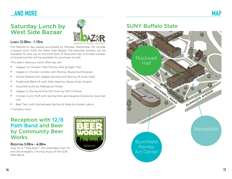### ...AND MORE

### Saturday Lunch by West Side Bazaar



#### Lunch 12:30pm - 1:15pm

Full festival or day passes purchased by Monday, September 25, include a boxed lunch from the West Side Bazaar. Pre-selected lunches will be available for pick-up on the third floor of Rockwell Hall. A limited number of boxed lunches will be available for purchase on-site.

This year's delicious lunch offerings are:

- Veggie\* or Chicken\* Pad Thai by Nine & Night Thai
- Veggie or Chicken Combo with Rice by Abyssinia Ethiopian
- Chana Masala with Veggie Samosa and Rice by M Asian Halal
- Traditional Bahn Mi with Side Salad by Wawa Asian Snacks
- Assorted Sushi by Rakhapura Mutee
- Veggie or Shrimp & Pork Dim Sum by 007 Chinese
- Chicken Curry Puff with Spring Rolls and Sesame Cookie by Gourmet Lao
- Beef Taco with Homemade Nachos & Salsa by Kiosko Latino (\*contains nuts)

### Reception with 12/8 Path Band and Beer by Community Beer **Works**

Reception 3:30pm - 4:30pm

Stay for a \*\*free beer\*\* (for attendees over 21) and the energetic, moving music of the 12/8 Path Band.



### SUNY Buffalo State

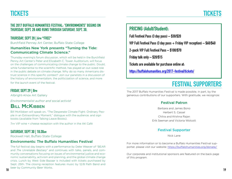### THE 2017 BUFFALO HUMANITIES FESTIVAL: "ENVIRONMENTS" BEGINS ON THURSDAY, SEPT. 28 AND RUNS THROUGH SATURDAY, SEPT. 30.

### THURSDAY, SEPT 28 | 6pm \*FREE\*

Burchfield Penney Art Center, Buffalo State College

#### Humanities New York presents "Turning the Tide: Communicating Climate Science."

Thursday evening's forum discussion, which will be held in the Burchfield Penny Art Center's Peter and Elizabeth C. Tower Auditorium, will focus on the challenges of communicating climate change to the public. Doubt, while fundamental to the scientific method, has played an out-sized role in the public debate on climate change. Why do so many Americans distrust science in this specific context? Join our panelists in a discussion of the history of environmentalism, the politicization of science, and more for the launch event of the festival.

### FRIDAY, SEPT 29 | 8PM

Albright-Knox Art Gallery

*Environmentalist author and social activist*

### **BILL McKIBBEN**

Bill McKibben will speak on, "The Desperate Climate Fight: Ordinary People in an Extraordinary Moment," dialogue with the audience, and sign books (available from Talking Leave Books).

7pm VIP wine + cheese reception with the author in the AK Café

### SATURDAY, SEPT 30 | 10:30am

Rockwell Hall, Buffalo State College

#### Environments: The Buffalo Humanities Festival

The full festival day begins with a performance by Deke Weaver of "BEAR and *The Unreliable Bestiary*" and continues with talks, panels, and community conversations focusing on issues of environmental justice and economic sustainability, activism and planning, and the global climate change crisis. Lunch by West Side Bazaar is included with tickets purchased by Sept. 25th. The closing reception features music by 12/8 Path Band and beer by Community Beer Works.

### PRICING (Adult/Student):

Full Festival Pass (3 day pass) – \$30/\$20

VIP Full Festival Pass (3 day pass  $+$  Friday VIP reception)  $-$  \$60/\$40

2-pack VIP Full Festival Pass – \$100/\$70

Friday talk only – \$20/\$15

Tickets are available for purchase online at:

<https://buffalohumanities.org/2017-festival/tickets/>

# FESTIVAL SUPPORTERS

The 2017 Buffalo Humanities Festival is made possible, in part, by the generous contributions of our supporters. With gratitude, we recognize:

#### Festival Patron

Barbara and James Bono Herbert S. Cassel Chitra and Krishna Rajan Erik Seeman and Victoria Wolcott

#### Festival Supporter

Nick Lane

For more information or to become a Buffalo Humanities Festival supporter, please visit our website:<https://buffalohumanities.org/donate/>

Our corporate and institutional sponsors are featured on the back page of this program.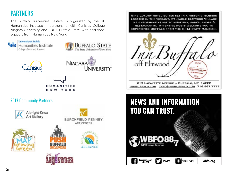## PARTNERS

The Buffalo Humanities Festival is organized by the UB Humanities Institute in partnership with Canisius College, Niagara University, and SUNY Buffalo State; with additional support from Humanities New York.



**MANITIES NFW YORK** 

### 2017 Community Partners



NINE LUXURY HOTEL SUITES SET IN A HISTORIC MANSION LOCATED IN THE VIBRANT, WALKABLE ELMWOOD VILLAGE NEIGHBORHOOD CLOSE TO MUSEUMS, PARKS, SHOPS & RESTAURANTS. ATTENTIVE HOSTS WELCOME YOU TO **EXPERIENCE BUFFALO FROM THE H.H. HEWITT MANSION.** 



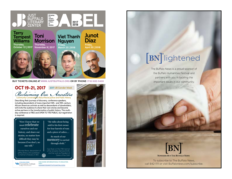

Describing their journeys of discovery, conference speakers, including descendants of many important 18th- and 19th-century African American activists as well as descendants of slaveholders, will invite the audience to share their own stories and become active partners in the transformation of public history. This multiday conference is FREE and OPEN TO THE PUBLIC; but registration is required.



-Rhonda Brace, descendant of a memoir of slavery in 1810

ersity at Buffal

College of Arts and

sold to his first owner for four barrels of rum and a piece of calico....

"He talks about being

So much of our memory is carried through cloth."

-Susi Ryan on the 1798 memoir of her ancestor, Venture Smith, and her work as President of Sisters of the Cloth

FOR MORE INFORMATION & TO REGISTER, Humanities Institute VISIT: HUMANITIESINSTITUTE.BUFFALO.EDU



# **BN** lightened

The Buffalo News is a proud sponsor of the Buffalo Humanities Festival and partners with you in tackling the important issues in our community.



**NOWHERE BUT THE BUFFALO NEWS** 

To subscribe to The Buffalo News, call 842-1111 or visit Buffalonews.com/subscribe.